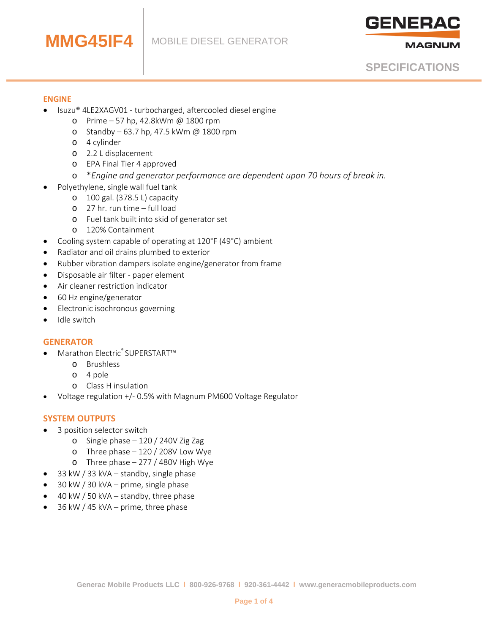

**MAGNUM** 

**SPECIFICATIONS**

#### **ENGINE**

- Isuzu® 4LE2XAGV01 turbocharged, aftercooled diesel engine
	- o Prime 57 hp, 42.8kWm @ 1800 rpm
	- o Standby 63.7 hp, 47.5 kWm @ 1800 rpm
	- o 4 cylinder

**MMG45IF4**

- o 2.2 L displacement
- o EPA Final Tier 4 approved
- o \**Engine and generator performance are dependent upon 70 hours of break in.*
- Polyethylene, single wall fuel tank
	- o 100 gal. (378.5 L) capacity
	- o 27 hr. run time full load
	- o Fuel tank built into skid of generator set
	- o 120% Containment
- Cooling system capable of operating at 120°F (49°C) ambient
- Radiator and oil drains plumbed to exterior
- Rubber vibration dampers isolate engine/generator from frame
- Disposable air filter paper element
- Air cleaner restriction indicator
- 60 Hz engine/generator
- Electronic isochronous governing
- Idle switch

#### **GENERATOR**

- Marathon Electric® SUPERSTART™
	- o Brushless
	- o 4 pole
	- o Class H insulation
- Voltage regulation +/- 0.5% with Magnum PM600 Voltage Regulator

### **SYSTEM OUTPUTS**

- 3 position selector switch
	- o Single phase 120 / 240V Zig Zag
	- o Three phase 120 / 208V Low Wye
	- o Three phase 277 / 480V High Wye
- 33 kW / 33 kVA standby, single phase
- 30 kW / 30 kVA prime, single phase
- 40 kW / 50 kVA standby, three phase
- 36 kW / 45 kVA prime, three phase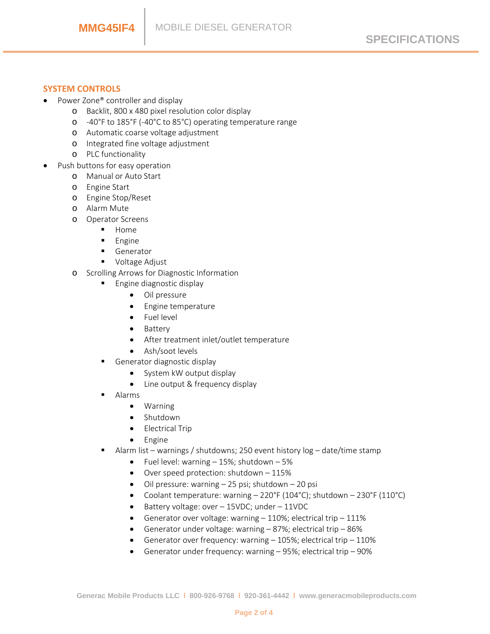### **SYSTEM CONTROLS**

- Power Zone® controller and display
	- o Backlit, 800 x 480 pixel resolution color display
	- o -40°F to 185°F (-40°C to 85°C) operating temperature range
	- o Automatic coarse voltage adjustment
	- o Integrated fine voltage adjustment
	- o PLC functionality
- Push buttons for easy operation
	- o Manual or Auto Start
	- o Engine Start
	- o Engine Stop/Reset
	- o Alarm Mute
	- o Operator Screens
		- **Home**
		- **Engine**
		- Generator
		- **Voltage Adjust**
	- o Scrolling Arrows for Diagnostic Information
		- **Engine diagnostic display** 
			- Oil pressure
			- Engine temperature
			- Fuel level
			- Battery
			- After treatment inlet/outlet temperature
			- Ash/soot levels
		- Generator diagnostic display
			- System kW output display
			- Line output & frequency display
		- Alarms
			- Warning
			- Shutdown
			- Electrical Trip
			- Engine
		- Alarm list warnings / shutdowns; 250 event history log date/time stamp
			- Fuel level: warning  $-15%$ ; shutdown  $-5%$
			- Over speed protection: shutdown 115%
			- Oil pressure: warning 25 psi; shutdown 20 psi
			- Coolant temperature: warning 220°F (104°C); shutdown 230°F (110°C)
			- Battery voltage: over 15VDC; under 11VDC
			- Generator over voltage: warning  $-110\%$ ; electrical trip  $-111\%$
			- Generator under voltage: warning 87%; electrical trip 86%
			- Generator over frequency: warning 105%; electrical trip 110%
			- Generator under frequency: warning 95%; electrical trip 90%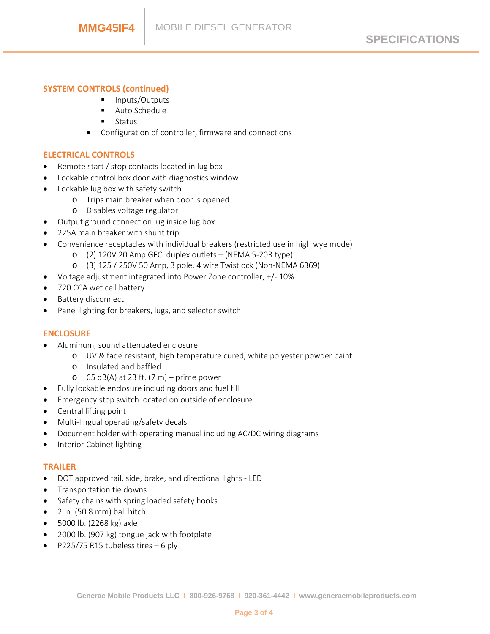# **SYSTEM CONTROLS (continued)**

- **Inputs/Outputs**
- Auto Schedule
- **Status**
- Configuration of controller, firmware and connections

### **ELECTRICAL CONTROLS**

- Remote start / stop contacts located in lug box
- Lockable control box door with diagnostics window
- Lockable lug box with safety switch
	- o Trips main breaker when door is opened
	- o Disables voltage regulator
- Output ground connection lug inside lug box
- 225A main breaker with shunt trip
- Convenience receptacles with individual breakers (restricted use in high wye mode)
	- o (2) 120V 20 Amp GFCI duplex outlets (NEMA 5-20R type)
	- o (3) 125 / 250V 50 Amp, 3 pole, 4 wire Twistlock (Non-NEMA 6369)
- Voltage adjustment integrated into Power Zone controller, +/- 10%
- 720 CCA wet cell battery
- Battery disconnect
- Panel lighting for breakers, lugs, and selector switch

#### **ENCLOSURE**

- Aluminum, sound attenuated enclosure
	- o UV & fade resistant, high temperature cured, white polyester powder paint
	- o Insulated and baffled
	- $\circ$  65 dB(A) at 23 ft. (7 m) prime power
- Fully lockable enclosure including doors and fuel fill
- Emergency stop switch located on outside of enclosure
- Central lifting point
- Multi-lingual operating/safety decals
- Document holder with operating manual including AC/DC wiring diagrams
- Interior Cabinet lighting

#### **TRAILER**

- DOT approved tail, side, brake, and directional lights LED
- Transportation tie downs
- Safety chains with spring loaded safety hooks
- 2 in. (50.8 mm) ball hitch
- 5000 lb. (2268 kg) axle
- 2000 lb. (907 kg) tongue jack with footplate
- P225/75 R15 tubeless tires 6 ply